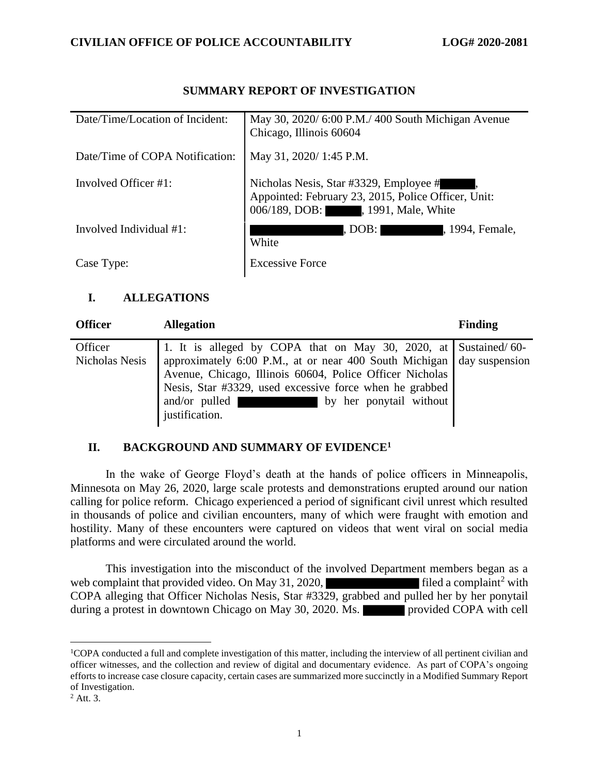| Date/Time/Location of Incident: | May 30, 2020/ 6:00 P.M./ 400 South Michigan Avenue<br>Chicago, Illinois 60604                                                         |
|---------------------------------|---------------------------------------------------------------------------------------------------------------------------------------|
| Date/Time of COPA Notification: | May 31, 2020/1:45 P.M.                                                                                                                |
| Involved Officer #1:            | Nicholas Nesis, Star #3329, Employee #, ,<br>Appointed: February 23, 2015, Police Officer, Unit:<br>006/189, DOB: , 1991, Male, White |
| Involved Individual #1:         | , DOB:  <br>, 1994, Female,<br>White                                                                                                  |
| Case Type:                      | <b>Excessive Force</b>                                                                                                                |

## **SUMMARY REPORT OF INVESTIGATION**

## **I. ALLEGATIONS**

| <b>Officer</b> | <b>Allegation</b>                                                                                                                                                                                                                                                    | <b>Finding</b> |
|----------------|----------------------------------------------------------------------------------------------------------------------------------------------------------------------------------------------------------------------------------------------------------------------|----------------|
| Officer        | 1. It is alleged by COPA that on May 30, 2020, at Sustained/60-                                                                                                                                                                                                      |                |
| Nicholas Nesis | approximately 6:00 P.M., at or near 400 South Michigan   day suspension<br>Avenue, Chicago, Illinois 60604, Police Officer Nicholas<br>Nesis, Star #3329, used excessive force when he grabbed<br>by her ponytail without<br>and/or pulled $\vert$<br>justification. |                |

### **II. BACKGROUND AND SUMMARY OF EVIDENCE<sup>1</sup>**

In the wake of George Floyd's death at the hands of police officers in Minneapolis, Minnesota on May 26, 2020, large scale protests and demonstrations erupted around our nation calling for police reform. Chicago experienced a period of significant civil unrest which resulted in thousands of police and civilian encounters, many of which were fraught with emotion and hostility. Many of these encounters were captured on videos that went viral on social media platforms and were circulated around the world.

This investigation into the misconduct of the involved Department members began as a web complaint that provided video. On May 31, 2020,  $\blacksquare$  filed a complaint<sup>2</sup> with COPA alleging that Officer Nicholas Nesis, Star #3329, grabbed and pulled her by her ponytail during a protest in downtown Chicago on May 30, 2020. Ms. **provided COPA** with cell

<sup>1</sup>COPA conducted a full and complete investigation of this matter, including the interview of all pertinent civilian and officer witnesses, and the collection and review of digital and documentary evidence. As part of COPA's ongoing efforts to increase case closure capacity, certain cases are summarized more succinctly in a Modified Summary Report of Investigation.

 $<sup>2</sup>$  Att. 3.</sup>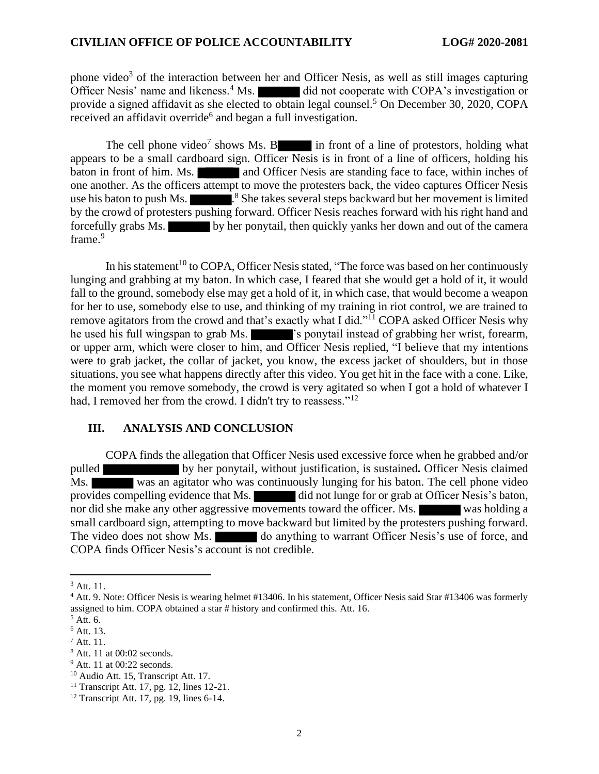#### **CIVILIAN OFFICE OF POLICE ACCOUNTABILITY LOG# 2020-2081**

phone video<sup>3</sup> of the interaction between her and Officer Nesis, as well as still images capturing Officer Nesis' name and likeness.<sup>4</sup> Ms. did not cooperate with COPA's investigation or provide a signed affidavit as she elected to obtain legal counsel.<sup>5</sup> On December 30, 2020, COPA received an affidavit override<sup>6</sup> and began a full investigation.

The cell phone video<sup>7</sup> shows Ms. B in front of a line of protestors, holding what appears to be a small cardboard sign. Officer Nesis is in front of a line of officers, holding his baton in front of him. Ms. and Officer Nesis are standing face to face, within inches of one another. As the officers attempt to move the protesters back, the video captures Officer Nesis use his baton to push Ms.  $\blacksquare$ <sup>8</sup> She takes several steps backward but her movement is limited by the crowd of protesters pushing forward. Officer Nesis reaches forward with his right hand and forcefully grabs Ms. by her ponytail, then quickly yanks her down and out of the camera frame.<sup>9</sup>

In his statement<sup>10</sup> to COPA, Officer Nesis stated, "The force was based on her continuously lunging and grabbing at my baton. In which case, I feared that she would get a hold of it, it would fall to the ground, somebody else may get a hold of it, in which case, that would become a weapon for her to use, somebody else to use, and thinking of my training in riot control, we are trained to remove agitators from the crowd and that's exactly what I did."<sup>11</sup> COPA asked Officer Nesis why he used his full wingspan to grab Ms.  $\blacksquare$  's ponytail instead of grabbing her wrist, forearm, or upper arm, which were closer to him, and Officer Nesis replied, "I believe that my intentions were to grab jacket, the collar of jacket, you know, the excess jacket of shoulders, but in those situations, you see what happens directly after this video. You get hit in the face with a cone. Like, the moment you remove somebody, the crowd is very agitated so when I got a hold of whatever I had, I removed her from the crowd. I didn't try to reassess."<sup>12</sup>

#### **III. ANALYSIS AND CONCLUSION**

COPA finds the allegation that Officer Nesis used excessive force when he grabbed and/or pulled by her ponytail, without justification, is sustained**.** Officer Nesis claimed Ms. was an agitator who was continuously lunging for his baton. The cell phone video provides compelling evidence that Ms. did not lunge for or grab at Officer Nesis's baton, nor did she make any other aggressive movements toward the officer. Ms. was holding a small cardboard sign, attempting to move backward but limited by the protesters pushing forward. The video does not show Ms. do anything to warrant Officer Nesis's use of force, and COPA finds Officer Nesis's account is not credible.

<sup>3</sup> Att. 11.

<sup>&</sup>lt;sup>4</sup> Att. 9. Note: Officer Nesis is wearing helmet #13406. In his statement, Officer Nesis said Star #13406 was formerly assigned to him. COPA obtained a star # history and confirmed this. Att. 16.

 $<sup>5</sup>$  Att. 6.</sup>

<sup>6</sup> Att. 13.

<sup>7</sup> Att. 11.

<sup>8</sup> Att. 11 at 00:02 seconds.

 $9$  Att. 11 at 00:22 seconds.

<sup>10</sup> Audio Att. 15, Transcript Att. 17.

<sup>&</sup>lt;sup>11</sup> Transcript Att. 17, pg. 12, lines 12-21.

<sup>12</sup> Transcript Att. 17, pg. 19, lines 6-14.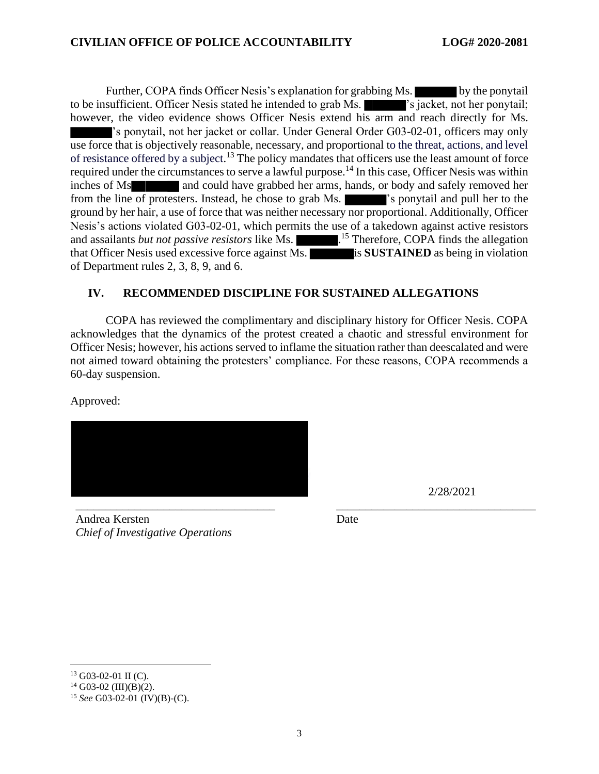Further, COPA finds Officer Nesis's explanation for grabbing Ms. by the ponytail to be insufficient. Officer Nesis stated he intended to grab Ms.  $\blacksquare$  's jacket, not her ponytail; however, the video evidence shows Officer Nesis extend his arm and reach directly for Ms. 's ponytail, not her jacket or collar. Under General Order G03-02-01, officers may only use force that is objectively reasonable, necessary, and proportional to the threat, actions, and level of resistance offered by a subject.<sup>13</sup> The policy mandates that officers use the least amount of force required under the circumstances to serve a lawful purpose.<sup>14</sup> In this case, Officer Nesis was within inches of Ms and could have grabbed her arms, hands, or body and safely removed her from the line of protesters. Instead, he chose to grab Ms. 's ponytail and pull her to the ground by her hair, a use of force that was neither necessary nor proportional. Additionally, Officer Nesis's actions violated G03-02-01, which permits the use of a takedown against active resistors and assailants *but not passive resistors* like Ms. <sup>15</sup> Therefore, COPA finds the allegation that Officer Nesis used excessive force against Ms. is **SUSTAINED** as being in violation of Department rules 2, 3, 8, 9, and 6.

#### **IV. RECOMMENDED DISCIPLINE FOR SUSTAINED ALLEGATIONS**

COPA has reviewed the complimentary and disciplinary history for Officer Nesis. COPA acknowledges that the dynamics of the protest created a chaotic and stressful environment for Officer Nesis; however, his actions served to inflame the situation rather than deescalated and were not aimed toward obtaining the protesters' compliance. For these reasons, COPA recommends a 60-day suspension.

Approved:



Andrea Kersten *Chief of Investigative Operations* 2/28/2021

Date

 $13$  G03-02-01 II (C).

 $14$  G03-02 (III)(B)(2).

<sup>15</sup> *See* G03-02-01 (IV)(B)-(C).